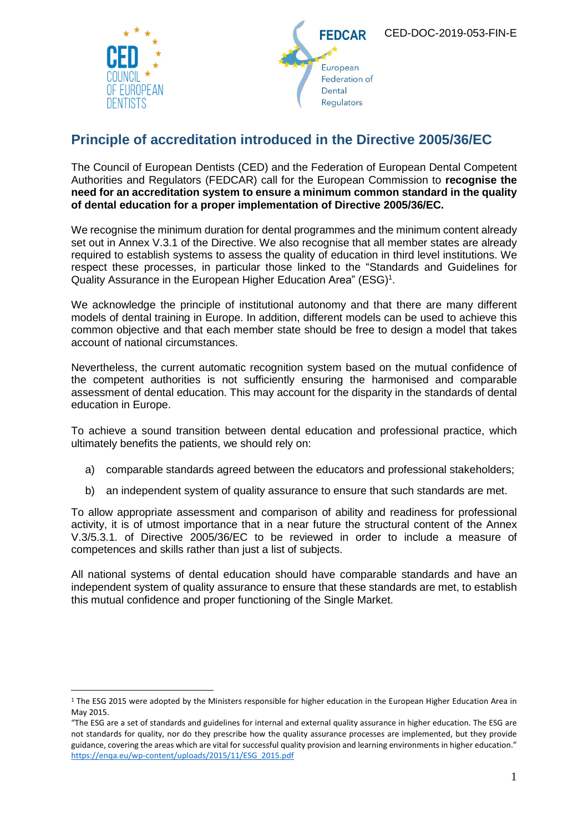

 $\overline{a}$ 





## **Principle of accreditation introduced in the Directive 2005/36/EC**

The Council of European Dentists (CED) and the Federation of European Dental Competent Authorities and Regulators (FEDCAR) call for the European Commission to **recognise the need for an accreditation system to ensure a minimum common standard in the quality of dental education for a proper implementation of Directive 2005/36/EC.**

We recognise the minimum duration for dental programmes and the minimum content already set out in Annex V.3.1 of the Directive. We also recognise that all member states are already required to establish systems to assess the quality of education in third level institutions. We respect these processes, in particular those linked to the "Standards and Guidelines for Quality Assurance in the European Higher Education Area" (ESG)<sup>1</sup>.

We acknowledge the principle of institutional autonomy and that there are many different models of dental training in Europe. In addition, different models can be used to achieve this common objective and that each member state should be free to design a model that takes account of national circumstances.

Nevertheless, the current automatic recognition system based on the mutual confidence of the competent authorities is not sufficiently ensuring the harmonised and comparable assessment of dental education. This may account for the disparity in the standards of dental education in Europe.

To achieve a sound transition between dental education and professional practice, which ultimately benefits the patients, we should rely on:

- a) comparable standards agreed between the educators and professional stakeholders;
- b) an independent system of quality assurance to ensure that such standards are met.

To allow appropriate assessment and comparison of ability and readiness for professional activity, it is of utmost importance that in a near future the structural content of the Annex V.3/5.3.1. of Directive 2005/36/EC to be reviewed in order to include a measure of competences and skills rather than just a list of subjects.

All national systems of dental education should have comparable standards and have an independent system of quality assurance to ensure that these standards are met, to establish this mutual confidence and proper functioning of the Single Market.

<sup>&</sup>lt;sup>1</sup> The ESG 2015 were adopted by the Ministers responsible for higher education in the European Higher Education Area in May 2015.

<sup>&</sup>quot;The ESG are a set of standards and guidelines for internal and external quality assurance in higher education. The ESG are not standards for quality, nor do they prescribe how the quality assurance processes are implemented, but they provide guidance, covering the areas which are vital for successful quality provision and learning environments in higher education." [https://enqa.eu/wp-content/uploads/2015/11/ESG\\_2015.pdf](https://enqa.eu/wp-content/uploads/2015/11/ESG_2015.pdf)